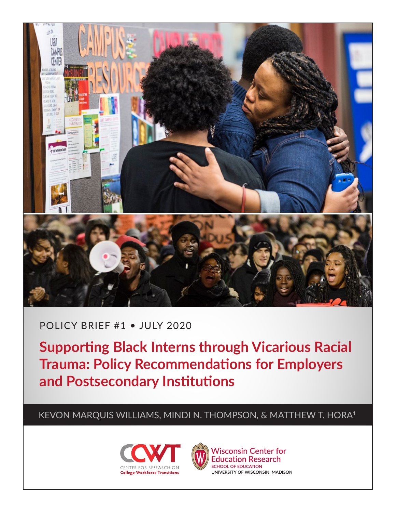

# POLICY BRIEF #1 • JULY 2020

**Supporting Black Interns through Vicarious Racial Trauma: Policy Recommendations for Employers and Postsecondary Institutions**

KEVON MARQUIS WILLIAMS, MINDI N. THOMPSON, & MATTHEW T. HORA1





**Wisconsin Center for Education Research SCHOOL OF EDUCATION** UNIVERSITY OF WISCONSIN-MADISON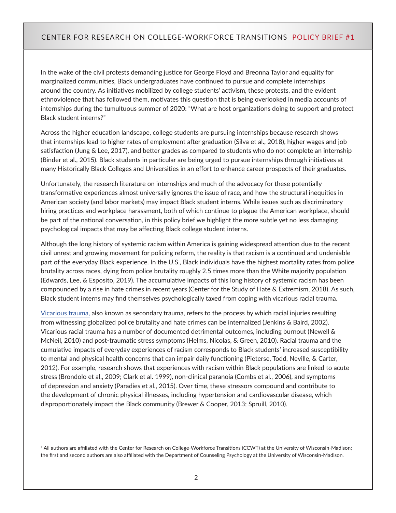In the wake of the civil protests demanding justice for George Floyd and Breonna Taylor and equality for marginalized communities, Black undergraduates have continued to pursue and complete internships around the country. As initiatives mobilized by college students' activism, these protests, and the evident ethnoviolence that has followed them, motivates this question that is being overlooked in media accounts of internships during the tumultuous summer of 2020: "What are host organizations doing to support and protect Black student interns?"

Across the higher education landscape, college students are pursuing internships because research shows that internships lead to higher rates of employment after graduation (Silva et al., 2018), higher wages and job satisfaction (Jung & Lee, 2017), and better grades as compared to students who do not complete an internship (Binder et al., 2015). Black students in particular are being urged to pursue internships through initiatives at many Historically Black Colleges and Universities in an effort to enhance career prospects of their graduates.

Unfortunately, the research literature on internships and much of the advocacy for these potentially transformative experiences almost universally ignores the issue of race, and how the structural inequities in American society (and labor markets) may impact Black student interns. While issues such as discriminatory hiring practices and workplace harassment, both of which continue to plague the American workplace, should be part of the national conversation, in this policy brief we highlight the more subtle yet no less damaging psychological impacts that may be affecting Black college student interns.

Although the long history of systemic racism within America is gaining widespread attention due to the recent civil unrest and growing movement for policing reform, the reality is that racism is a continued and undeniable part of the everyday Black experience. In the U.S., Black individuals have the highest mortality rates from police brutality across races, dying from police brutality roughly 2.5 times more than the White majority population (Edwards, Lee, & Esposito, 2019). The accumulative impacts of this long history of systemic racism has been compounded by a rise in hate crimes in recent years (Center for the Study of Hate & Extremism, 2018). As such, Black student interns may find themselves psychologically taxed from coping with vicarious racial trauma.

[Vicarious trauma,](https://www.counseling.org/docs/trauma-disaster/fact-sheet-9---vicarious-trauma.pdf) also known as secondary trauma, refers to the process by which racial injuries resulting from witnessing globalized police brutality and hate crimes can be internalized (Jenkins & Baird, 2002). Vicarious racial trauma has a number of documented detrimental outcomes, including burnout (Newell & McNeil, 2010) and post-traumatic stress symptoms (Helms, Nicolas, & Green, 2010). Racial trauma and the cumulative impacts of everyday experiences of racism corresponds to Black students' increased susceptibility to mental and physical health concerns that can impair daily functioning (Pieterse, Todd, Neville, & Carter, 2012). For example, research shows that experiences with racism within Black populations are linked to acute stress (Brondolo et al., 2009; Clark et al. 1999), non-clinical paranoia (Combs et al., 2006), and symptoms of depression and anxiety (Paradies et al., 2015). Over time, these stressors compound and contribute to the development of chronic physical illnesses, including hypertension and cardiovascular disease, which disproportionately impact the Black community (Brewer & Cooper, 2013; Spruill, 2010).

<sup>1</sup> All authors are affiliated with the Center for Research on College-Workforce Transitions (CCWT) at the University of Wisconsin-Madison; the first and second authors are also affiliated with the Department of Counseling Psychology at the University of Wisconsin-Madison.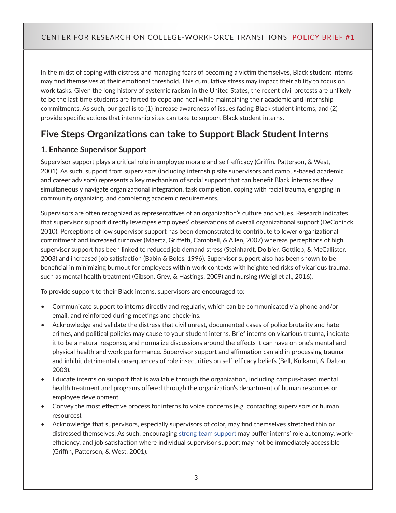In the midst of coping with distress and managing fears of becoming a victim themselves, Black student interns may find themselves at their emotional threshold. This cumulative stress may impact their ability to focus on work tasks. Given the long history of systemic racism in the United States, the recent civil protests are unlikely to be the last time students are forced to cope and heal while maintaining their academic and internship commitments. As such, our goal is to (1) increase awareness of issues facing Black student interns, and (2) provide specific actions that internship sites can take to support Black student interns.

# **Five Steps Organizations can take to Support Black Student Interns**

# **1. Enhance Supervisor Support**

Supervisor support plays a critical role in employee morale and self-efficacy (Griffin, Patterson, & West, 2001). As such, support from supervisors (including internship site supervisors and campus-based academic and career advisors) represents a key mechanism of social support that can benefit Black interns as they simultaneously navigate organizational integration, task completion, coping with racial trauma, engaging in community organizing, and completing academic requirements.

Supervisors are often recognized as representatives of an organization's culture and values. Research indicates that supervisor support directly leverages employees' observations of overall organizational support (DeConinck, 2010). Perceptions of low supervisor support has been demonstrated to contribute to lower organizational commitment and increased turnover (Maertz, Griffeth, Campbell, & Allen, 2007) whereas perceptions of high supervisor support has been linked to reduced job demand stress (Steinhardt, Dolbier, Gottlieb, & McCallister, 2003) and increased job satisfaction (Babin & Boles, 1996). Supervisor support also has been shown to be beneficial in minimizing burnout for employees within work contexts with heightened risks of vicarious trauma, such as mental health treatment (Gibson, Grey, & Hastings, 2009) and nursing (Weigl et al., 2016).

To provide support to their Black interns, supervisors are encouraged to:

- Communicate support to interns directly and regularly, which can be communicated via phone and/or email, and reinforced during meetings and check-ins.
- Acknowledge and validate the distress that civil unrest, documented cases of police brutality and hate crimes, and political policies may cause to your student interns. Brief interns on vicarious trauma, indicate it to be a natural response, and normalize discussions around the effects it can have on one's mental and physical health and work performance. Supervisor support and affirmation can aid in processing trauma and inhibit detrimental consequences of role insecurities on self-efficacy beliefs (Bell, Kulkarni, & Dalton, 2003).
- Educate interns on support that is available through the organization, including campus-based mental health treatment and programs offered through the organization's department of human resources or employee development.
- Convey the most effective process for interns to voice concerns (e.g. contacting supervisors or human resources).
- Acknowledge that supervisors, especially supervisors of color, may find themselves stretched thin or distressed themselves. As such, encouraging [strong team support](https://onlinelibrary.wiley.com/doi/pdf/10.1002/job.101?casa_token=SHkMFKMNfRkAAAAA:WuhNUFgwx-1Efk7ZMe3Eyo4lhtZrqg1I76mMFXlKLGjrs76tVALDQyk_1NC54mDyGKuolLNVaDfLIG4) may buffer interns' role autonomy, workefficiency, and job satisfaction where individual supervisor support may not be immediately accessible (Griffin, Patterson, & West, 2001).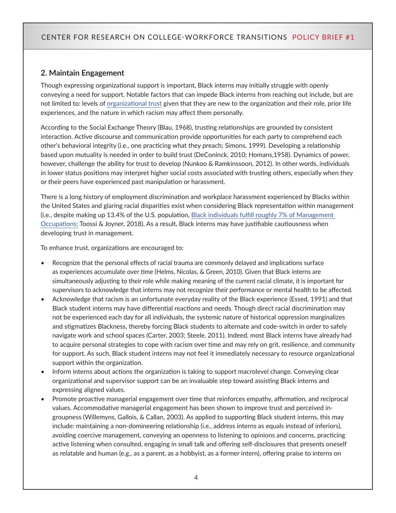#### **2. Maintain Engagement**

Though expressing organizational support is important, Black interns may initially struggle with openly conveying a need for support. Notable factors that can impede Black interns from reaching out include, but are not limited to: levels of [organizational trust](https://www.tandfonline.com/doi/pdf/10.1080/09585190210158547?casa_token=4aNwjqOj7C0AAAAA:koFxOJTlzYx11BbehhM8F58m6JDzVxp8vER9D9ZYz7jH2f3PXPI1YWKRZ4Jc0TRzJODvagvGLNmU) given that they are new to the organization and their role, prior life experiences, and the nature in which racism may affect them personally.

According to the Social Exchange Theory (Blau, 1968), trusting relationships are grounded by consistent interaction. Active discourse and communication provide opportunities for each party to comprehend each other's behavioral integrity (i.e., one practicing what they preach; Simons, 1999). Developing a relationship based upon mutuality is needed in order to build trust (DeConinck, 2010; Homans,1958). Dynamics of power, however, challenge the ability for trust to develop (Nunkoo & Ramkinssoon, 2012). In other words, individuals in lower status positions may interpret higher social costs associated with trusting others, especially when they or their peers have experienced past manipulation or harassment.

There is a long history of employment discrimination and workplace harassment experienced by Blacks within the United States and glaring racial disparities exist when considering Black representation within management (i.e., despite making up 13.4% of the U.S. population, [Black individuals fulfill roughly 7% of Management](https://www.bls.gov/careeroutlook/2018/article/blacks-in-the-labor-force.htm?view_full)  [Occupations;](https://www.bls.gov/careeroutlook/2018/article/blacks-in-the-labor-force.htm?view_full) Toossi & Joyner, 2018). As a result, Black interns may have justifiable cautiousness when developing trust in management.

To enhance trust, organizations are encouraged to:

- Recognize that the personal effects of racial trauma are commonly delayed and implications surface as experiences accumulate over time (Helms, Nicolas, & Green, 2010). Given that Black interns are simultaneously adjusting to their role while making meaning of the current racial climate, it is important for supervisors to acknowledge that interns may not recognize their performance or mental health to be affected.
- Acknowledge that racism is an unfortunate everyday reality of the Black experience (Essed, 1991) and that Black student interns may have differential reactions and needs. Though direct racial discrimination may not be experienced each day for all individuals, the systemic nature of historical oppression marginalizes and stigmatizes Blackness, thereby forcing Black students to alternate and code-switch in order to safely navigate work and school spaces (Carter, 2003; Steele, 2011). Indeed, most Black interns have already had to acquire personal strategies to cope with racism over time and may rely on grit, resilience, and community for support. As such, Black student interns may not feel it immediately necessary to resource organizational support within the organization.
- Inform interns about actions the organization is taking to support macrolevel change. Conveying clear organizational and supervisor support can be an invaluable step toward assisting Black interns and expressing aligned values.
- Promote proactive managerial engagement over time that reinforces empathy, affirmation, and reciprocal values. Accommodative managerial engagement has been shown to improve trust and perceived ingroupness (Willemyns, Gallois, & Callan, 2003). As applied to supporting Black student interns, this may include: maintaining a non-domineering relationship (i.e., address interns as equals instead of inferiors), avoiding coercive management, conveying an openness to listening to opinions and concerns, practicing active listening when consulted, engaging in small talk and offering self-disclosures that presents oneself as relatable and human (e.g., as a parent, as a hobbyist, as a former intern), offering praise to interns on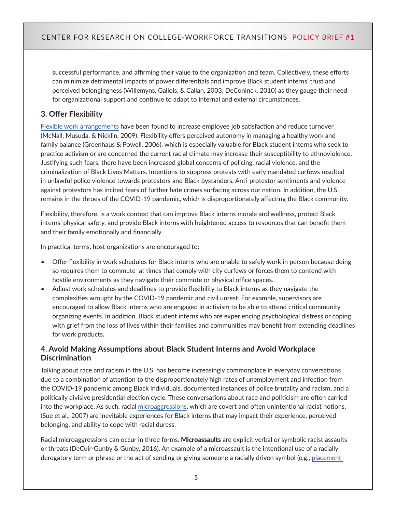successful performance, and affirming their value to the organization and team. Collectively, these efforts can minimize detrimental impacts of power differentials and improve Black student interns' trust and perceived belongingness (Willemyns, Gallois, & Callan, 2003; DeConinck, 2010) as they gauge their need for organizational support and continue to adapt to internal and external circumstances.

# **3. Offer Flexibility**

[Flexible work arrangements](https://www.tandfonline.com/doi/abs/10.1080/00223980903356073?casa_token=L4H9kwSvslIAAAAA%3A7QEkaT-vO0WvJ7nkDtr02fln22vlyg5abiwj3xjoNTJT4TOcD5yaRsvQbQ8D4vJ1fvIlM7qNd-N3&journalCode=vjrl20) have been found to increase employee job satisfaction and reduce turnover (McNall, Musuda, & Nicklin, 2009). Flexibility offers perceived autonomy in managing a healthy work and family balance (Greenhaus & Powell, 2006), which is especially valuable for Black student interns who seek to practice activism or are concerned the current racial climate may increase their susceptibility to ethnoviolence. Justifying such fears, there have been increased global concerns of policing, racial violence, and the criminalization of Black Lives Matters. Intentions to suppress protests with early mandated curfews resulted in unlawful police violence towards protestors and Black bystanders. Anti-protestor sentiments and violence against protestors has incited fears of further hate crimes surfacing across our nation. In addition, the U.S. remains in the throes of the COVID-19 pandemic, which is disproportionately affecting the Black community.

Flexibility, therefore, is a work context that can improve Black interns morale and wellness, protect Black interns' physical safety, and provide Black interns with heightened access to resources that can benefit them and their family emotionally and financially.

In practical terms, host organizations are encouraged to:

- Offer flexibility in work schedules for Black interns who are unable to safely work in person because doing so requires them to commute at times that comply with city curfews or forces them to contend with hostile environments as they navigate their commute or physical office spaces.
- Adjust work schedules and deadlines to provide flexibility to Black interns as they navigate the complexities wrought by the COVID-19 pandemic and civil unrest. For example, supervisors are encouraged to allow Black interns who are engaged in activism to be able to attend critical community organizing events. In addition, Black student interns who are experiencing psychological distress or coping with grief from the loss of lives within their families and communities may benefit from extending deadlines for work products.

#### **4. Avoid Making Assumptions about Black Student Interns and Avoid Workplace Discrimination**

Talking about race and racism in the U.S. has become increasingly commonplace in everyday conversations due to a combination of attention to the disproportionately high rates of unemployment and infection from the COVID-19 pandemic among Black individuals, documented instances of police brutality and racism, and a politically divisive presidential election cycle. These conversations about race and politicism are often carried into the workplace. As such, racial [microaggressions](https://www.npr.org/2020/06/08/872371063/microaggressions-are-a-big-deal-how-to-talk-them-out-and-when-to-walk-away), which are covert and often unintentional racist notions, (Sue et al., 2007) are inevitable experiences for Black interns that may impact their experience, perceived belonging, and ability to cope with racial duress.

Racial microaggressions can occur in three forms. Microassaults are explicit verbal or symbolic racist assaults or threats (DeCuir-Gunby & Gunby, 2016). An example of a microassault is the intentional use of a racially derogatory term or phrase or the act of sending or giving someone a racially driven symbol (e.g., [placement](https://abcnews.go.com/US/black-boeing-employee-sues-company-finding-noose-desk/story?id=63713972)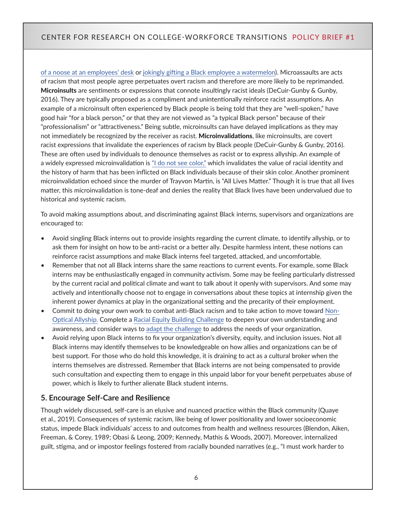[of a noose at an employees' desk](https://abcnews.go.com/US/black-boeing-employee-sues-company-finding-noose-desk/story?id=63713972) or [jokingly gifting a Black employee a watermelon\)](https://www.nydailynews.com/news/national/bar-owner-fire-racist-gift-biracial-employee-article-1.3791043). Microassaults are acts of racism that most people agree perpetuates overt racism and therefore are more likely to be reprimanded. Microinsults are sentiments or expressions that connote insultingly racist ideals (DeCuir-Gunby & Gunby, 2016). They are typically proposed as a compliment and unintentionally reinforce racist assumptions. An example of a microinsult often experienced by Black people is being told that they are "well-spoken," have good hair "for a black person," or that they are not viewed as "a typical Black person" because of their "professionalism" or "attractiveness." Being subtle, microinsults can have delayed implications as they may not immediately be recognized by the receiver as racist. Microinvalidations, like microinsults, are covert racist expressions that invalidate the experiences of racism by Black people (DeCuir-Gunby & Gunby, 2016). These are often used by individuals to denounce themselves as racist or to express allyship. An example of a widely expressed microinvalidation is ["I do not see color,"](https://level.medium.com/when-white-people-say-they-dont-see-color-5b57a5bb933a) which invalidates the value of racial identity and the history of harm that has been inflicted on Black individuals because of their skin color. Another prominent microinvalidation echoed since the murder of Trayvon Martin, is "All Lives Matter." Though it is true that all lives matter, this microinvalidation is tone-deaf and denies the reality that Black lives have been undervalued due to historical and systemic racism.

To avoid making assumptions about, and discriminating against Black interns, supervisors and organizations are encouraged to:

- Avoid singling Black interns out to provide insights regarding the current climate, to identify allyship, or to ask them for insight on how to be anti-racist or a better ally. Despite harmless intent, these notions can reinforce racist assumptions and make Black interns feel targeted, attacked, and uncomfortable.
- Remember that not all Black interns share the same reactions to current events. For example, some Black interns may be enthusiastically engaged in community activism. Some may be feeling particularly distressed by the current racial and political climate and want to talk about it openly with supervisors. And some may actively and intentionally choose not to engage in conversations about these topics at internship given the inherent power dynamics at play in the organizational setting and the precarity of their employment.
- Commit to doing your own work to combat anti-Black racism and to take action to move toward [Non-](https://twitter.com/mireillecharper/status/1266335563197501440)[Optical Allyship.](https://twitter.com/mireillecharper/status/1266335563197501440) Complete a [Racial Equity Building Challenge](https://www.eddiemoorejr.com/21daychallenge) to deepen your own understanding and awareness, and consider ways to [adapt the challenge](https://debbyirving.com/21-day-plan-community-adopters/) to address the needs of your organization.
- Avoid relying upon Black interns to fix your organization's diversity, equity, and inclusion issues. Not all Black interns may identify themselves to be knowledgeable on how allies and organizations can be of best support. For those who do hold this knowledge, it is draining to act as a cultural broker when the interns themselves are distressed. Remember that Black interns are not being compensated to provide such consultation and expecting them to engage in this unpaid labor for your benefit perpetuates abuse of power, which is likely to further alienate Black student interns.

#### **5. Encourage Self-Care and Resilience**

Though widely discussed, self-care is an elusive and nuanced practice within the Black community (Quaye et al., 2019). Consequences of systemic racism, like being of lower positionality and lower socioeconomic status, impede Black individuals' access to and outcomes from health and wellness resources (Blendon, Aiken, Freeman, & Corey, 1989; Obasi & Leong, 2009; Kennedy, Mathis & Woods, 2007). Moreover, internalized guilt, stigma, and or impostor feelings fostered from racially bounded narratives (e.g., "I must work harder to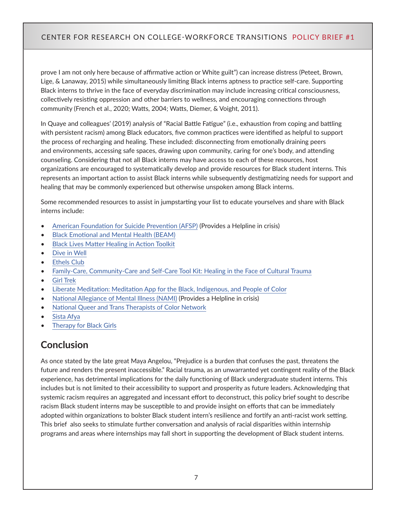prove I am not only here because of affirmative action or White guilt") can increase distress (Peteet, Brown, Lige, & Lanaway, 2015) while simultaneously limiting Black interns aptness to practice self-care. Supporting Black interns to thrive in the face of everyday discrimination may include increasing critical consciousness, collectively resisting oppression and other barriers to wellness, and encouraging connections through community (French et al., 2020; Watts, 2004; Watts, Diemer, & Voight, 2011).

In Quaye and colleagues' (2019) analysis of "Racial Battle Fatigue" (i.e., exhaustion from coping and battling with persistent racism) among Black educators, five common practices were identified as helpful to support the process of recharging and healing. These included: disconnecting from emotionally draining peers and environments, accessing safe spaces, drawing upon community, caring for one's body, and attending counseling. Considering that not all Black interns may have access to each of these resources, host organizations are encouraged to systematically develop and provide resources for Black student interns. This represents an important action to assist Black interns while subsequently destigmatizing needs for support and healing that may be commonly experienced but otherwise unspoken among Black interns.

Some recommended resources to assist in jumpstarting your list to educate yourselves and share with Black interns include:

- [American Foundation for Suicide Prevention \(AFSP\)](https://afsp.org/) (Provides a Helpline in crisis)
- [Black Emotional and Mental Health \(BEAM\)](https://www.beam.community/tool-kits-education)
- [Black Lives Matter Healing in Action Toolkit](https://blacklivesmatter.com/wp-content/uploads/2017/10/BLM_HealinginAction-1-1.pdf?__cf_chl_jschl_tk__=185a1528a9959cf988a72fa3814b10af6312a992-1593360705-0-AQsuYvOT-r_-88oenoEyZ4SxyTn-JaWBJMM7YyXx0GG3A6weLGZFWQN8CZISlzBV11zYWe4Pxd_B9CNnTW-ubeLhN-aHaNuXzS_PPi2sXK4aNSa5gCssy9XSsw56XrQPyQlESv_JU7umLkBq07NvsMDMyjjCZL4jt-MToEX34WVoVv6lwshWDU0WAST8T2KnobLHZuPlQZaPk1UW_tAIPrbI2Pp7J7qRQYZJKTWOUkVl_9Qc9soiMfIc0v46MT5U7O1cJwB-eoo7-AERfE9Hensle44a4nds1pmX6KUjmE1i1Loj0X9r5Qd1Wgjs6qzy477fYKqbCnOwuM83jzze_wC-EdAmB5TLzELlh4DHJH1XcUIXcP6cwNJ66uP3Wdc630aQUp48qALhdrQysOaioXI)
- [Dive in Well](https://www.diveinwell.com/)
- **[Ethels Club](https://www.ethelsclub.com/)**
- [Family-Care, Community-Care and Self-Care Tool Kit: Healing in the Face of Cultural Trauma](https://www.abpsi.org/pdf/FamilyCommunitySelfCareToolKit.pdf)
- [Girl Trek](https://www.girltrek.org/)
- [Liberate Meditation: Meditation App for the Black, Indigenous, and People of Color](https://liberatemeditation.com/)
- [National Allegiance of Mental Illness \(NAMI\)](https://www.nami.org/Your-Journey/Identity-and-Cultural-Dimensions#:~:text=800%2D950%2DNAMI&text=Our%20culture%2C%20beliefs%2C%20sexual%20identity,and%20supports%20work%20for%20us.) (Provides a Helpline in crisis)
- [National Queer and Trans Therapists of Color Network](https://www.nqttcn.com/)
- [Sista Afya](https://www.sistaafya.com/conditions-healing)
- **[Therapy for Black Girls](https://therapyforblackgirls.com/)**

# **Conclusion**

As once stated by the late great Maya Angelou, "Prejudice is a burden that confuses the past, threatens the future and renders the present inaccessible." Racial trauma, as an unwarranted yet contingent reality of the Black experience, has detrimental implications for the daily functioning of Black undergraduate student interns. This includes but is not limited to their accessibility to support and prosperity as future leaders. Acknowledging that systemic racism requires an aggregated and incessant effort to deconstruct, this policy brief sought to describe racism Black student interns may be susceptible to and provide insight on efforts that can be immediately adopted within organizations to bolster Black student intern's resilience and fortify an anti-racist work setting. This brief also seeks to stimulate further conversation and analysis of racial disparities within internship programs and areas where internships may fall short in supporting the development of Black student interns.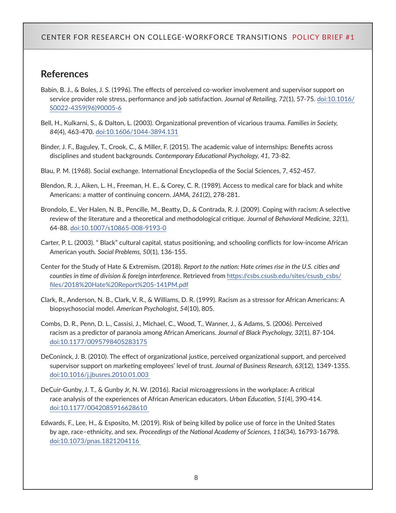# **References**

- Babin, B. J., & Boles, J. S. (1996). The effects of perceived co-worker involvement and supervisor support on service provider role stress, performance and job satisfaction. *Journal of Retailing, 72*(1), 57-75. [doi:10.1016/](https://doi.org/10.1016/S0022-4359(96)90005-6) [S0022-4359\(96\)90005-6](https://doi.org/10.1016/S0022-4359(96)90005-6)
- Bell, H., Kulkarni, S., & Dalton, L. (2003). Organizational prevention of vicarious trauma. *Families in Society, 84*(4), 463-470. [doi:10.1606/1044-3894.131](https://doi.org/10.1606/1044-3894.131)
- Binder, J. F., Baguley, T., Crook, C., & Miller, F. (2015). The academic value of internships: Benefits across disciplines and student backgrounds. *Contemporary Educational Psychology, 41,* 73-82.
- Blau, P. M. (1968). Social exchange. International Encyclopedia of the Social Sciences, 7, 452-457.
- Blendon, R. J., Aiken, L. H., Freeman, H. E., & Corey, C. R. (1989). Access to medical care for black and white Americans: a matter of continuing concern. *JAMA, 261*(2), 278-281.
- Brondolo, E., Ver Halen, N. B., Pencille, M., Beatty, D., & Contrada, R. J. (2009). Coping with racism: A selective review of the literature and a theoretical and methodological critique. *Journal of Behavioral Medicine, 32*(1), 64-88. [doi:10.1007/s10865-008-9193-0](https://doi.org/10.1007/s10865-008-9193-0)
- Carter, P. L. (2003). " Black" cultural capital, status positioning, and schooling conflicts for low-income African American youth. *Social Problems, 50*(1), 136-155.
- Center for the Study of Hate & Extremism. (2018). *Report to the nation: Hate crimes rise in the U.S. cities and counties in time of division & foreign interference*. Retrieved from [https://csbs.csusb.edu/sites/csusb\\_csbs/](https://csbs.csusb.edu/sites/csusb_csbs/files/2018%20Hate%20Report%205-141PM.pdf) [files/2018%20Hate%20Report%205-141PM.pdf](https://csbs.csusb.edu/sites/csusb_csbs/files/2018%20Hate%20Report%205-141PM.pdf)
- Clark, R., Anderson, N. B., Clark, V. R., & Williams, D. R. (1999). Racism as a stressor for African Americans: A biopsychosocial model. *American Psychologist, 54*(10), 805.
- Combs, D. R., Penn, D. L., Cassisi, J., Michael, C., Wood, T., Wanner, J., & Adams, S. (2006). Perceived racism as a predictor of paranoia among African Americans. *Journal of Black Psychology, 32*(1), 87-104. [doi:10.1177/0095798405283175](https://doi.org/10.1177/0095798405283175)
- DeConinck, J. B. (2010). The effect of organizational justice, perceived organizational support, and perceived supervisor support on marketing employees' level of trust. *Journal of Business Research, 63*(12), 1349-1355. [doi:10.1016/j.jbusres.2010.01.003](https://doi.org/10.1016/j.jbusres.2010.01.003)
- DeCuir-Gunby, J. T., & Gunby Jr, N. W. (2016). Racial microaggressions in the workplace: A critical race analysis of the experiences of African American educators. *Urban Education, 51*(4), 390-414. [doi:10.1177/0042085916628610](https://doi.org/10.1177/0042085916628610)
- Edwards, F., Lee, H., & Esposito, M. (2019). Risk of being killed by police use of force in the United States by age, race–ethnicity, and sex. *Proceedings of the National Academy of Sciences, 116*(34), 16793-16798. [doi:10.1073/pnas.1821204116](https://doi.org/10.1073/pnas.1821204116)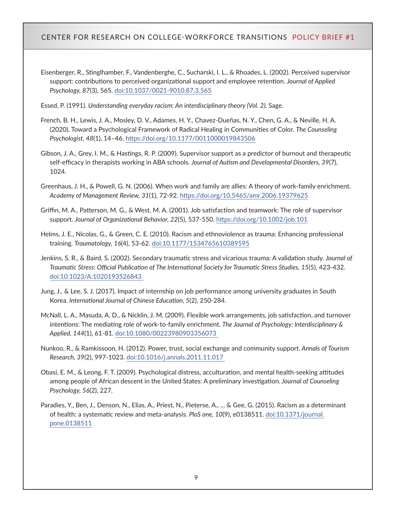Eisenberger, R., Stinglhamber, F., Vandenberghe, C., Sucharski, I. L., & Rhoades, L. (2002). Perceived supervisor support: contributions to perceived organizational support and employee retention. *Journal of Applied Psychology, 87*(3), 565. [doi:10.1037/0021-9010.87.3.565](https://doi.org/10.1037/0021-9010.87.3.565)

Essed, P. (1991). *Understanding everyday racism: An interdisciplinary theory (Vol. 2).* Sage.

- French, B. H., Lewis, J. A., Mosley, D. V., Adames, H. Y., Chavez-Dueñas, N. Y., Chen, G. A., & Neville, H. A. (2020). Toward a Psychological Framework of Radical Healing in Communities of Color. *The Counseling Psychologist, 48*(1), 14–46.<https://doi.org/10.1177/0011000019843506>
- Gibson, J. A., Grey, I. M., & Hastings, R. P. (2009). Supervisor support as a predictor of burnout and therapeutic self-efficacy in therapists working in ABA schools. *Journal of Autism and Developmental Disorders, 39*(7), 1024.
- Greenhaus, J. H., & Powell, G. N. (2006). When work and family are allies: A theory of work-family enrichment. *Academy of Management Review, 31*(1), 72-92.<https://doi.org/10.5465/amr.2006.19379625>
- Griffin, M. A., Patterson, M. G., & West, M. A. (2001). Job satisfaction and teamwork: The role of supervisor support. *Journal of Organizational Behavior, 22*(5), 537-550.<https://doi.org/10.1002/job.101>
- Helms, J. E., Nicolas, G., & Green, C. E. (2010). Racism and ethnoviolence as trauma: Enhancing professional training. *Traumatology, 16*(4), 53-62. [doi:10.1177/1534765610389595](https://doi.org/10.1177/1534765610389595)
- Jenkins, S. R., & Baird, S. (2002). Secondary traumatic stress and vicarious trauma: A validation study. *Journal of Traumatic Stress: Official Publication of The International Society for Traumatic Stress Studies, 15*(5), 423-432. [doi:10.1023/A:1020193526843](https://doi.org/10.1023/A:1020193526843)
- Jung, J., & Lee, S. J. (2017). Impact of internship on job performance among university graduates in South Korea. *International Journal of Chinese Education, 5*(2), 250-284.
- McNall, L. A., Masuda, A. D., & Nicklin, J. M. (2009). Flexible work arrangements, job satisfaction, and turnover intentions: The mediating role of work-to-family enrichment. *The Journal of Psychology: Interdisciplinary & Applied, 144*(1), 61-81. [doi:10.1080/00223980903356073](https://doi.org/10.1080/00223980903356073)
- Nunkoo, R., & Ramkissoon, H. (2012). Power, trust, social exchange and community support. *Annals of Tourism Research, 39*(2), 997-1023. [doi:10.1016/j.annals.2011.11.017](https://doi.org/10.1016/j.annals.2011.11.017)
- Obasi, E. M., & Leong, F. T. (2009). Psychological distress, acculturation, and mental health-seeking attitudes among people of African descent in the United States: A preliminary investigation. *Journal of Counseling Psychology, 56*(2), 227.
- Paradies, Y., Ben, J., Denson, N., Elias, A., Priest, N., Pieterse, A., ... & Gee, G. (2015). Racism as a determinant of health: a systematic review and meta-analysis. *PloS one, 10*(9), e0138511. [doi:10.1371/journal.](https://doi.org/10.1371/journal.pone.0138511) [pone.0138511](https://doi.org/10.1371/journal.pone.0138511)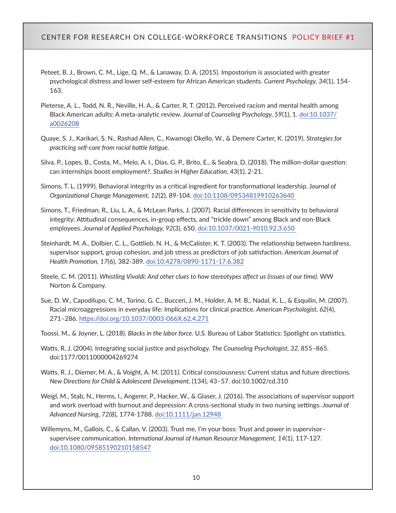- Peteet, B. J., Brown, C. M., Lige, Q. M., & Lanaway, D. A. (2015). Impostorism is associated with greater psychological distress and lower self-esteem for African American students. *Current Psychology, 34*(1), 154- 163.
- Pieterse, A. L., Todd, N. R., Neville, H. A., & Carter, R. T. (2012). Perceived racism and mental health among Black American adults: A meta-analytic review. *Journal of Counseling Psychology, 59*(1), 1. [doi:10.1037/](https://doi.org/10.1037/a0026208) [a0026208](https://doi.org/10.1037/a0026208)
- Quaye, S. J., Karikari, S. N., Rashad Allen, C., Kwamogi Okello, W., & Demere Carter, K. (2019). *Strategies for practicing self-care from racial battle fatigue.*
- Silva, P., Lopes, B., Costa, M., Melo, A. I., Dias, G. P., Brito, E., & Seabra, D. (2018). The million-dollar question: can internships boost employment?. *Studies in Higher Education, 43*(1), 2-21.
- Simons, T. L. (1999). Behavioral integrity as a critical ingredient for transformational leadership. J*ournal of Organizational Change Management, 12*(2), 89-104. [doi:10.1108/09534819910263640](https://doi.org/10.1108/09534819910263640)
- Simons, T., Friedman, R., Liu, L. A., & McLean Parks, J. (2007). Racial differences in sensitivity to behavioral integrity: Attitudinal consequences, in-group effects, and "trickle down" among Black and non-Black employees. *Journal of Applied Psychology, 92*(3), 650. [doi:10.1037/0021-9010.92.3.650](https://doi.org/10.1037/0021-9010.92.3.650)
- Steinhardt, M. A., Dolbier, C. L., Gottlieb, N. H., & McCalister, K. T. (2003). The relationship between hardiness, supervisor support, group cohesion, and job stress as predictors of job satisfaction. *American Journal of Health Promotion, 17*(6), 382-389. [doi:10.4278/0890-1171-17.6.382](https://doi.org/10.4278/0890-1171-17.6.382)
- Steele, C. M. (2011). *Whistling Vivaldi: And other clues to how stereotypes affect us (issues of our time).* WW Norton & Company.
- Sue, D. W., Capodilupo, C. M., Torino, G. C., Bucceri, J. M., Holder, A. M. B., Nadal, K. L., & Esquilin, M. (2007). Racial microaggressions in everyday life: Implications for clinical practice. *American Psychologist, 62*(4), 271–286. <https://doi.org/10.1037/0003-066X.62.4.271>

Toossi, M., & Joyner, L. (2018). *Blacks in the labor force.* U.S. Bureau of Labor Statistics: Spotlight on statistics.

- Watts, R. J. (2004). Integrating social justice and psychology. *The Counseling Psychologist, 32,* 855–865. doi:1177/0011000004269274
- Watts, R. J., Diemer, M. A., & Voight, A. M. (2011). Critical consciousness: Current status and future directions. *New Directions for Child & Adolescent Development,* (134), 43–57. doi:10.1002/cd.310
- Weigl, M., Stab, N., Herms, I., Angerer, P., Hacker, W., & Glaser, J. (2016). The associations of supervisor support and work overload with burnout and depression: A cross‐sectional study in two nursing settings. *Journal of Advanced Nursing, 72*(8), 1774-1788. [doi:10.1111/jan.12948](https://doi.org/10.1111/jan.12948)
- Willemyns, M., Gallois, C., & Callan, V. (2003). Trust me, I'm your boss: Trust and power in supervisor– supervisee communication. *International Journal of Human Resource Management, 14*(1), 117-127. [doi:10.1080/09585190210158547](https://doi.org/10.1080/09585190210158547)